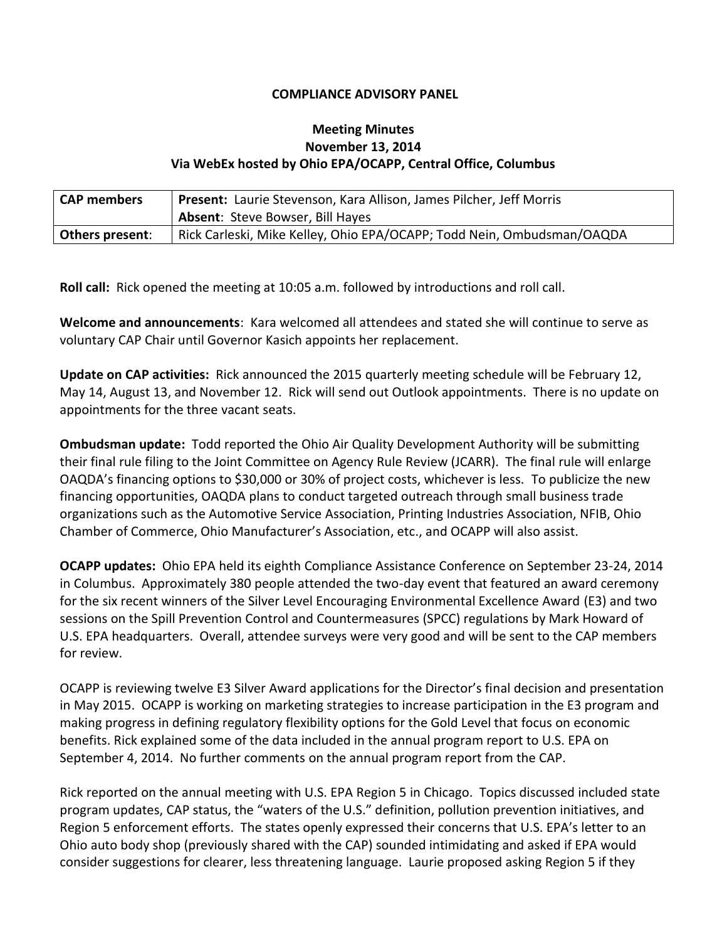## **COMPLIANCE ADVISORY PANEL**

## **Meeting Minutes November 13, 2014 Via WebEx hosted by Ohio EPA/OCAPP, Central Office, Columbus**

| <b>CAP members</b> | <b>Present:</b> Laurie Stevenson, Kara Allison, James Pilcher, Jeff Morris |
|--------------------|----------------------------------------------------------------------------|
|                    | <b>Absent: Steve Bowser, Bill Hayes</b>                                    |
| Others present:    | Rick Carleski, Mike Kelley, Ohio EPA/OCAPP; Todd Nein, Ombudsman/OAQDA     |

**Roll call:** Rick opened the meeting at 10:05 a.m. followed by introductions and roll call.

**Welcome and announcements**: Kara welcomed all attendees and stated she will continue to serve as voluntary CAP Chair until Governor Kasich appoints her replacement.

**Update on CAP activities:** Rick announced the 2015 quarterly meeting schedule will be February 12, May 14, August 13, and November 12. Rick will send out Outlook appointments. There is no update on appointments for the three vacant seats.

**Ombudsman update:**Todd reported the Ohio Air Quality Development Authority will be submitting their final rule filing to the Joint Committee on Agency Rule Review (JCARR). The final rule will enlarge OAQDA's financing options to \$30,000 or 30% of project costs, whichever is less. To publicize the new financing opportunities, OAQDA plans to conduct targeted outreach through small business trade organizations such as the Automotive Service Association, Printing Industries Association, NFIB, Ohio Chamber of Commerce, Ohio Manufacturer's Association, etc., and OCAPP will also assist.

**OCAPP updates:** Ohio EPA held its eighth Compliance Assistance Conference on September 23-24, 2014 in Columbus. Approximately 380 people attended the two-day event that featured an award ceremony for the six recent winners of the Silver Level Encouraging Environmental Excellence Award (E3) and two sessions on the Spill Prevention Control and Countermeasures (SPCC) regulations by Mark Howard of U.S. EPA headquarters. Overall, attendee surveys were very good and will be sent to the CAP members for review.

OCAPP is reviewing twelve E3 Silver Award applications for the Director's final decision and presentation in May 2015. OCAPP is working on marketing strategies to increase participation in the E3 program and making progress in defining regulatory flexibility options for the Gold Level that focus on economic benefits. Rick explained some of the data included in the annual program report to U.S. EPA on September 4, 2014. No further comments on the annual program report from the CAP.

Rick reported on the annual meeting with U.S. EPA Region 5 in Chicago. Topics discussed included state program updates, CAP status, the "waters of the U.S." definition, pollution prevention initiatives, and Region 5 enforcement efforts. The states openly expressed their concerns that U.S. EPA's letter to an Ohio auto body shop (previously shared with the CAP) sounded intimidating and asked if EPA would consider suggestions for clearer, less threatening language. Laurie proposed asking Region 5 if they